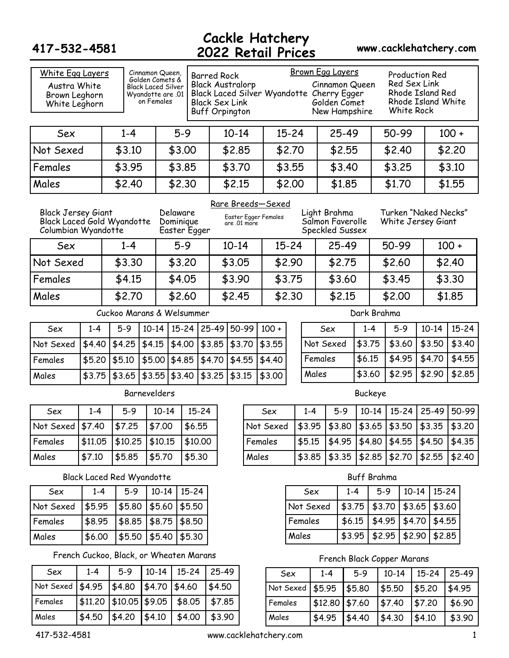### **Cackle Hatchery 2022 Retail Prices 417-532-4581 www.cacklehatchery.com**

| White Egg Layers<br>Austra White<br>Brown Leghorn<br>White Leghorn             |         |                                         | Cinnamon Queen,<br>Golden Comets &<br>Black Laced Silver<br>01. Wyandotte are<br>on Females |                       |              | <b>Barred Rock</b><br><b>Black Australorp</b><br><b>Black Sex Link</b><br><b>Buff Orpington</b> |              |       |                                           |           |         | <b>Brown Egg Layers</b><br>Cinnamon Queen<br>Black Laced Silver Wyandotte Cherry Egger<br>Golden Comet<br>New Hampshire |         |         |                |                    | <b>Production Red</b><br>Red Sex Link<br>Rhode Island Red<br>White Rock |           |           | Rhode Island White   |  |  |  |  |  |        |
|--------------------------------------------------------------------------------|---------|-----------------------------------------|---------------------------------------------------------------------------------------------|-----------------------|--------------|-------------------------------------------------------------------------------------------------|--------------|-------|-------------------------------------------|-----------|---------|-------------------------------------------------------------------------------------------------------------------------|---------|---------|----------------|--------------------|-------------------------------------------------------------------------|-----------|-----------|----------------------|--|--|--|--|--|--------|
| Sex                                                                            |         | $1 - 4$                                 |                                                                                             | $5-9$                 |              |                                                                                                 | $10 - 14$    |       |                                           | $15 - 24$ |         |                                                                                                                         | 25-49   |         |                | 50-99              |                                                                         |           |           | $100 +$              |  |  |  |  |  |        |
| Not Sexed                                                                      |         | \$3.10                                  |                                                                                             | \$3.00                |              |                                                                                                 | \$2.85       |       |                                           | \$2.70    |         |                                                                                                                         | \$2.55  |         |                | \$2.40             |                                                                         |           |           | \$2.20               |  |  |  |  |  |        |
| Females                                                                        |         | \$3.95                                  |                                                                                             | \$3.85                |              |                                                                                                 | \$3.70       |       |                                           | \$3.55    |         |                                                                                                                         | \$3.40  |         |                | \$3.25             |                                                                         |           |           | \$3.10               |  |  |  |  |  |        |
| Males                                                                          |         | \$2.40                                  |                                                                                             | \$2.30                |              |                                                                                                 | \$2.15       |       |                                           | \$2.00    |         |                                                                                                                         | \$1.85  |         |                | \$1.70             |                                                                         |           |           | \$1.55               |  |  |  |  |  |        |
| <b>Black Jersey Giant</b><br>Black Laced Gold Wyandotte<br>Columbian Wyandotte |         |                                         |                                                                                             | Delaware<br>Dominique | Easter Egger |                                                                                                 | are .01 more |       | Rare Breeds-Sexed<br>Easter Egger Females |           |         | Light Brahma<br>Salmon Faverolle<br>Speckled Sussex                                                                     |         |         |                | White Jersey Giant |                                                                         |           |           | Turken "Naked Necks" |  |  |  |  |  |        |
| Sex                                                                            |         | $1 - 4$                                 |                                                                                             | $5 - 9$               |              |                                                                                                 | $10 - 14$    |       | $15 - 24$                                 |           |         |                                                                                                                         | 25-49   |         |                | 50-99              |                                                                         |           |           | $100 +$              |  |  |  |  |  |        |
| Not Sexed                                                                      |         | \$3.30                                  |                                                                                             | \$3.20                |              |                                                                                                 | \$3.05       |       | \$2.90                                    |           |         |                                                                                                                         | \$2.75  |         |                | \$2.60             |                                                                         |           |           | \$2.40               |  |  |  |  |  |        |
| Females                                                                        |         | \$4.15                                  |                                                                                             | \$4.05                |              |                                                                                                 | \$3.90       |       | \$3.75                                    |           |         |                                                                                                                         | \$3.60  |         |                | \$3.45             |                                                                         |           |           | \$3.30               |  |  |  |  |  |        |
| Males                                                                          |         | \$2.70                                  |                                                                                             | \$2.60                |              |                                                                                                 | \$2.45       |       | \$2.30                                    |           |         |                                                                                                                         | \$2.15  | \$2.00  |                |                    |                                                                         |           |           |                      |  |  |  |  |  | \$1.85 |
| Cuckoo Marans & Welsummer                                                      |         |                                         |                                                                                             |                       |              |                                                                                                 |              |       |                                           |           |         |                                                                                                                         |         |         | Dark Brahma    |                    |                                                                         |           |           |                      |  |  |  |  |  |        |
| Sex                                                                            | $1 - 4$ | $5-9$                                   | $10 - 14$                                                                                   | $15 - 24$             |              | 25-49                                                                                           | 50-99        |       | $100 +$                                   |           |         | Sex                                                                                                                     |         | $1 - 4$ |                | $5 - 9$            |                                                                         |           | $10-14$   | $15 - 24$            |  |  |  |  |  |        |
| Not Sexed                                                                      | \$4.40  | \$4.25                                  | \$4.15                                                                                      | \$4.00                |              | \$3.85                                                                                          | \$3.70       |       | \$3.55                                    |           |         | Not Sexed                                                                                                               |         | \$3.75  |                | \$3.60             |                                                                         |           | \$3.50    | \$3.40               |  |  |  |  |  |        |
| Females                                                                        | \$5.20  | \$5.10                                  | \$5.00                                                                                      | \$4.85                |              | \$4.70                                                                                          | \$4.55       |       | \$4.40                                    |           |         | Females                                                                                                                 |         | \$6.15  |                | \$4.95             |                                                                         |           | \$4.70    | \$4.55               |  |  |  |  |  |        |
| Males                                                                          | \$3.75  | \$3.65                                  | \$3.55                                                                                      | \$3.40                |              | \$3.25                                                                                          | \$3.15       |       | \$3.00                                    |           |         | Males                                                                                                                   |         | \$3.60  |                | \$2.95             |                                                                         |           | \$2.90    | \$2.85               |  |  |  |  |  |        |
|                                                                                |         |                                         | Barnevelders                                                                                |                       |              |                                                                                                 |              |       |                                           |           |         |                                                                                                                         |         |         | <b>Buckeye</b> |                    |                                                                         |           |           |                      |  |  |  |  |  |        |
| Sex                                                                            | $1 - 4$ | $5 - 9$                                 | $10 - 14$                                                                                   |                       | $15 - 24$    |                                                                                                 |              |       | Sex                                       |           | $1 - 4$ |                                                                                                                         | $5-9$   |         | $10 - 14$      | $15 - 24$          |                                                                         |           | 25-49     | 50-99                |  |  |  |  |  |        |
| Not Sexed \$7.40                                                               |         | \$7.25                                  | \$7.00                                                                                      |                       | \$6.55       |                                                                                                 |              |       | Not Sexed                                 |           | \$3.95  |                                                                                                                         | \$3.80  | \$3.65  |                | \$3.50             |                                                                         | \$3.35    |           | \$3.20               |  |  |  |  |  |        |
| Females                                                                        | \$11.05 | \$10.25                                 | \$10.15                                                                                     |                       | \$10.00      |                                                                                                 |              |       | Females                                   |           | \$5.15  |                                                                                                                         | \$4.95  | \$4.80  |                | \$4.55             |                                                                         | \$4.50    |           | \$4.35               |  |  |  |  |  |        |
| Males                                                                          | \$7.10  | \$5.85                                  | \$5.70                                                                                      |                       | \$5.30       |                                                                                                 |              | Males |                                           |           | \$3.85  |                                                                                                                         | \$3.35  |         | \$2.85         | \$2.70             |                                                                         | \$2.55    |           | \$2.40               |  |  |  |  |  |        |
|                                                                                |         | <b>Black Laced Red Wyandotte</b>        |                                                                                             |                       |              |                                                                                                 |              |       |                                           |           |         |                                                                                                                         |         |         | Buff Brahma    |                    |                                                                         |           |           |                      |  |  |  |  |  |        |
| Sex                                                                            | $1 - 4$ | $5-9$                                   | $10 - 14$                                                                                   |                       | $15 - 24$    |                                                                                                 |              |       |                                           |           | Sex     |                                                                                                                         | $1 - 4$ |         | $5-9$          |                    | $10 - 14$                                                               |           | $15 - 24$ |                      |  |  |  |  |  |        |
| Not Sexed                                                                      | \$5.95  | \$5.80                                  | \$5.60                                                                                      |                       | \$5.50       |                                                                                                 |              |       |                                           |           |         | Not Sexed                                                                                                               | \$3.75  |         | \$3.70         |                    | \$3.65                                                                  |           | \$3.60    |                      |  |  |  |  |  |        |
| Females                                                                        | \$8.95  | \$8.85                                  | \$8.75                                                                                      |                       | \$8.50       |                                                                                                 |              |       |                                           |           | Females |                                                                                                                         | \$6.15  |         | \$4.95         |                    | \$4.70                                                                  |           | \$4.55    |                      |  |  |  |  |  |        |
| Males                                                                          | \$6.00  | \$5.50                                  | \$5.40                                                                                      |                       | \$5.30       |                                                                                                 |              |       |                                           |           | Males   |                                                                                                                         | \$3.95  |         | \$2.95         |                    | \$2.90                                                                  |           | \$2.85    |                      |  |  |  |  |  |        |
|                                                                                |         | French Cuckoo, Black, or Wheaten Marans |                                                                                             |                       |              |                                                                                                 |              |       |                                           |           |         | French Black Copper Marans                                                                                              |         |         |                |                    |                                                                         |           |           |                      |  |  |  |  |  |        |
| Sex                                                                            | $1 - 4$ | $5-9$                                   | $10 - 14$                                                                                   |                       | $15 - 24$    | 25-49                                                                                           |              |       |                                           | Sex       |         | $1 - 4$                                                                                                                 |         | $5-9$   |                | $10 - 14$          |                                                                         | $15 - 24$ |           | 25-49                |  |  |  |  |  |        |
| Not Sexed                                                                      | \$4.95  | \$4.80                                  | \$4.70                                                                                      |                       | \$4.60       | \$4.50                                                                                          |              |       | Not Sexed                                 |           |         | \$5.95                                                                                                                  |         | \$5.80  |                | \$5.50             |                                                                         | \$5.20    |           | \$4.95               |  |  |  |  |  |        |
| Females                                                                        | \$11.20 | \$10.05                                 | \$9.05                                                                                      |                       | \$8.05       | \$7.85                                                                                          |              |       | Females                                   |           |         | \$12.80                                                                                                                 |         | \$7.60  |                | \$7.40             |                                                                         | \$7.20    |           | \$6.90               |  |  |  |  |  |        |
| Males                                                                          | \$4.50  | \$4.20                                  | \$4.10                                                                                      |                       | \$4.00       | \$3.90                                                                                          |              |       | Males                                     |           |         | \$4.95                                                                                                                  |         | \$4.40  |                | \$4.30             |                                                                         | \$4.10    |           | \$3.90               |  |  |  |  |  |        |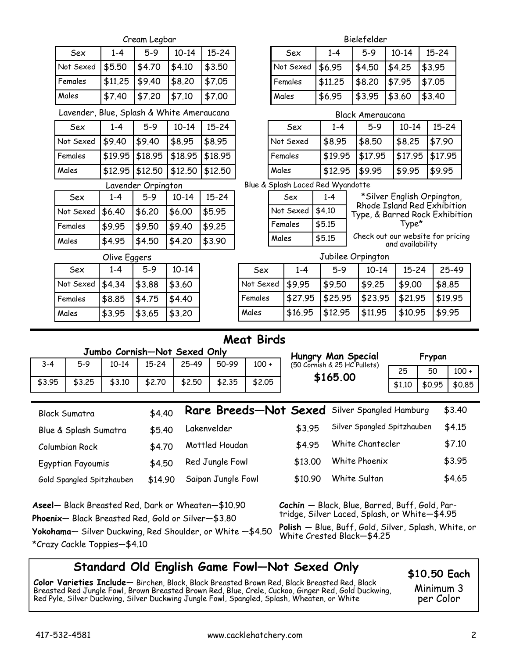|              |                                                                                                                  |           | Cream Legbar                 |           |                       |                   |       |                                                                                                 |              | Bielefelder                                        |                                                           |        |                  |           |         |
|--------------|------------------------------------------------------------------------------------------------------------------|-----------|------------------------------|-----------|-----------------------|-------------------|-------|-------------------------------------------------------------------------------------------------|--------------|----------------------------------------------------|-----------------------------------------------------------|--------|------------------|-----------|---------|
|              | Sex                                                                                                              | $1 - 4$   | $5-9$                        | $10 - 14$ | $15 - 24$             |                   |       | Sex                                                                                             | $1 - 4$      |                                                    | $5-9$                                                     |        | $10 - 14$        | $15 - 24$ |         |
|              | Not Sexed                                                                                                        | \$5.50    | \$4.70                       | \$4.10    | \$3.50                |                   |       | Not Sexed                                                                                       | \$6.95       |                                                    | \$4.50                                                    | \$4.25 |                  | \$3.95    |         |
|              | Females                                                                                                          | \$11.25   | \$9.40                       | \$8.20    | \$7.05                |                   |       | Females                                                                                         | \$11.25      |                                                    | \$8.20                                                    | \$7.95 |                  | \$7.05    |         |
|              | Males                                                                                                            | \$7.40    | \$7.20                       | \$7.10    | \$7.00                |                   |       | Males                                                                                           | \$6.95       |                                                    | \$3.95                                                    | \$3.60 |                  | \$3.40    |         |
|              | Lavender, Blue, Splash & White Ameraucana                                                                        |           |                              |           |                       |                   |       |                                                                                                 |              |                                                    | <b>Black Ameraucana</b>                                   |        |                  |           |         |
|              | Sex                                                                                                              | $1 - 4$   | $5-9$                        | $10 - 14$ | $15 - 24$             |                   |       | Sex                                                                                             | $1 - 4$      |                                                    | $5 - 9$                                                   |        | $10 - 14$        | $15 - 24$ |         |
|              | Not Sexed                                                                                                        | \$9.40    | \$9.40                       | \$8.95    | \$8.95                |                   |       | Not Sexed                                                                                       | \$8.95       |                                                    | \$8.50                                                    |        | \$8.25           | \$7.90    |         |
|              | Females                                                                                                          | \$19.95   | \$18.95                      | \$18.95   | \$18.95               |                   |       | Females                                                                                         | \$19.95      |                                                    | \$17.95                                                   |        | \$17.95          | \$17.95   |         |
|              | Males                                                                                                            | \$12.95   | \$12,50                      | \$12.50   | \$12.50               |                   | Males |                                                                                                 | \$12.95      |                                                    | \$9.95                                                    |        | \$9.95           | \$9.95    |         |
|              |                                                                                                                  |           | Lavender Orpington           |           |                       |                   |       | Blue & Splash Laced Red Wyandotte                                                               |              |                                                    |                                                           |        |                  |           |         |
|              | Sex                                                                                                              | $1 - 4$   | $5 - 9$                      | $10 - 14$ | $15 - 24$             |                   |       | Sex                                                                                             | $1 - 4$      |                                                    | *Silver English Orpington,<br>Rhode Island Red Exhibition |        |                  |           |         |
|              | Not Sexed                                                                                                        | \$6.40    | \$6.20                       | \$6.00    | \$5.95                |                   |       | Not Sexed                                                                                       | \$4.10       |                                                    | Type, & Barred Rock Exhibition                            |        |                  |           |         |
|              | Females                                                                                                          | \$9.95    | \$9.50                       | \$9.40    | \$9.25                |                   |       | Females                                                                                         | \$5.15       |                                                    |                                                           |        | Type*            |           |         |
|              | Males                                                                                                            | \$4.95    | \$4.50                       | \$4.20    | \$3.90                |                   |       | Males                                                                                           | \$5.15       |                                                    | Check out our website for pricing                         |        | and availability |           |         |
| Olive Eggers |                                                                                                                  |           |                              |           |                       |                   |       |                                                                                                 |              | Jubilee Orpington                                  |                                                           |        |                  |           |         |
|              | Sex                                                                                                              | $1 - 4$   | $5-9$                        | $10 - 14$ |                       | Sex               |       | $1 - 4$                                                                                         | $5-9$        |                                                    | $10 - 14$                                                 |        | $15 - 24$        |           | 25-49   |
|              | Not Sexed                                                                                                        | \$4.34    | \$3.88                       | \$3.60    |                       | Not Sexed         |       | \$9.95                                                                                          | \$9.50       |                                                    | \$9.25                                                    |        | \$9.00           |           | \$8.85  |
|              | Females                                                                                                          | \$8.85    | \$4.75                       | \$4.40    |                       | Females           |       | \$27.95                                                                                         | \$25.95      |                                                    | \$23.95                                                   |        | \$21.95          |           | \$19.95 |
|              | Males                                                                                                            | \$3.95    | \$3.65                       | \$3.20    |                       | Males             |       | \$16.95                                                                                         | \$12.95      |                                                    | \$11.95                                                   |        | \$10.95          |           | \$9.95  |
|              |                                                                                                                  |           |                              |           |                       | <b>Meat Birds</b> |       |                                                                                                 |              |                                                    |                                                           |        |                  |           |         |
|              |                                                                                                                  |           | Jumbo Cornish-Not Sexed Only |           |                       |                   |       |                                                                                                 |              |                                                    |                                                           |        |                  | Frypan    |         |
| $3 - 4$      | $5-9$                                                                                                            | $10 - 14$ | $15 - 24$                    | 25-49     | 50-99                 | $100 +$           |       |                                                                                                 |              | Hungry Man Special<br>(50 Cornish & 25 HC Pullets) |                                                           |        | 25               | 50        | $100 +$ |
| \$3.95       | \$3.25                                                                                                           | \$3.10    | \$2.70                       | \$2.50    | \$2.35                | \$2.05            |       |                                                                                                 | \$165.00     |                                                    |                                                           |        | \$1.10           | \$0.95    | \$0.85  |
|              |                                                                                                                  |           |                              |           |                       |                   |       |                                                                                                 |              |                                                    |                                                           |        |                  |           |         |
|              | <b>Black Sumatra</b>                                                                                             |           | \$4.40                       |           | Rare Breeds-Not Sexed |                   |       |                                                                                                 |              |                                                    | Silver Spangled Hamburg                                   |        |                  |           | \$3.40  |
|              | Blue & Splash Sumatra                                                                                            |           | \$5.40                       |           | Lakenvelder           |                   |       | \$3.95                                                                                          |              |                                                    | Silver Spangled Spitzhauben                               |        |                  |           | \$4.15  |
|              | Columbian Rock                                                                                                   |           | \$4.70                       |           | Mottled Houdan        |                   |       | \$4.95                                                                                          |              |                                                    | White Chantecler                                          |        |                  |           | \$7.10  |
|              | Egyptian Fayoumis                                                                                                |           | \$4.50                       |           | Red Jungle Fowl       |                   |       | \$13.00                                                                                         |              |                                                    | White Phoenix                                             |        |                  |           | \$3.95  |
|              | Saipan Jungle Fowl<br>Gold Spangled Spitzhauben<br>\$14.90                                                       |           |                              |           |                       | \$10.90           |       |                                                                                                 | White Sultan |                                                    |                                                           |        | \$4.65           |           |         |
|              | Aseel— Black Breasted Red, Dark or Wheaten—\$10.90<br><b>Phoenix</b> — Black Breasted Red, Gold or Silver—\$3.80 |           |                              |           |                       |                   |       | Cochin - Black, Blue, Barred, Buff, Gold, Par-<br>tridge, Silver Laced, Splash, or White-\$4.95 |              |                                                    |                                                           |        |                  |           |         |

**Yokohama**— Silver Duckwing, Red Shoulder, or White —\$4.50 \*Crazy Cackle Toppies—\$4.10

**Polish** — Blue, Buff, Gold, Silver, Splash, White, or White Crested Black—\$4.25

# **Standard Old English Game Fowl—Not Sexed Only**

**Color Varieties Include**— Birchen, Black, Black Breasted Brown Red, Black Breasted Red, Black Breasted Red Jungle Fowl, Brown Breasted Brown Red, Blue, Crele, Cuckoo, Ginger Red, Gold Duckwing, Red Pyle, Silver Duckwing, Silver Duckwing Jungle Fowl, Spangled, Splash, Wheaten, or White

**\$10.50 Each**

Minimum 3 per Color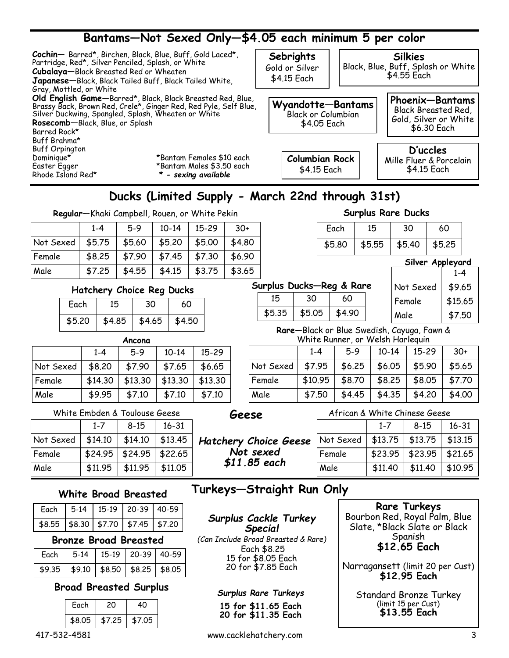# **Bantams—Not Sexed Only—\$4.05 each minimum 5 per color**

| Cochin-Barred*, Birchen, Black, Blue, Buff, Gold Laced*,<br>Partridge, Red*, Silver Penciled, Splash, or White<br>Cubalaya-Black Breasted Red or Wheaten<br>Japanese-Black, Black Tailed Buff, Black Tailed White,<br>Gray, Mottled, or White |                                                                                                                                | Sebrights<br>Gold or Silver<br>\$4.15 Each                    | <b>Silkies</b><br>Black, Blue, Buff, Splash or White<br>\$4.55 Each            |
|-----------------------------------------------------------------------------------------------------------------------------------------------------------------------------------------------------------------------------------------------|--------------------------------------------------------------------------------------------------------------------------------|---------------------------------------------------------------|--------------------------------------------------------------------------------|
| Silver Duckwing, Spangled, Splash, Wheaten or White<br>Rosecomb-Black, Blue, or Splash<br>Barred Rock*<br>Buff Brahma*                                                                                                                        | Old English Game-Barred*, Black, Black Breasted Red, Blue,<br>Brassy Back, Brown Red, Crele*, Ginger Red, Red Pyle, Self Blue, | Wyandotte-Bantams<br><b>Black or Columbian</b><br>\$4.05 Each | Phoenix-Bantams<br>Black Breasted Red,<br>Gold, Silver or White<br>\$6.30 Each |
| <b>Buff Orpington</b><br>Dominique*<br>Easter Egger<br>Rhode Island Red*                                                                                                                                                                      | *Bantam Females \$10 each<br>*Bantam Males \$3.50 each<br>* - sexing available                                                 | <b>Columbian Rock</b><br>\$4.15 Each                          | D'uccles<br>Mille Fluer & Porcelain<br>\$4.15 Each                             |

# **Ducks (Limited Supply - March 22nd through 31st)**

**Regular**—Khaki Campbell, Rouen, or White Pekin

|           | $1 - 4$ | 5-9    | $10-14$ | $15 - 29$ | $30+$  |
|-----------|---------|--------|---------|-----------|--------|
| Not Sexed | \$5.75  | \$5.60 | \$5.20  | \$5.00    | \$4.80 |
| Female    | \$8.25  | \$7.90 | \$7.45  | \$7.30    | \$6.90 |
| Male      | \$7.25  | \$4.55 | \$4.15  | \$3.75    | \$3.65 |

### **Hatchery Choice Reg Ducks**

| Each   | 15 | 30               | 60     |  |  |
|--------|----|------------------|--------|--|--|
| \$5.20 |    | $$4.85$   \$4.65 | \$4.50 |  |  |

**Ancona**

Not Sexed | \$8.20 | \$7.90 | \$7.65 | \$6.65 Female | \$14.30 | \$13.30 | \$13.30 | \$13.30 Male 1 \$9.95 \$7.10 \$7.10 \$7.10

1-4 5-9 10-14 15-29

## **Surplus Rare Ducks**

| Each   | 15     | 30     | 60     |
|--------|--------|--------|--------|
| \$5.80 | \$5.55 | \$5.40 | \$5.25 |

### **Surplus Ducks—Reg & Rare**

| 15     | 30     | 60     |  |
|--------|--------|--------|--|
| \$5.35 | \$5.05 | \$4.90 |  |

| Silver Appleyard |         |
|------------------|---------|
|                  | 1-4     |
| Not Sexed        | \$9.65  |
| Female           | \$15.65 |
| Male             | \$7.50  |

**Rare**—Black or Blue Swedish, Cayuga, Fawn & White Runner, or Welsh Harlequin

|           | $1 - 4$ | $5-9$  | $10-14$ | $15 - 29$ | $30+$  |
|-----------|---------|--------|---------|-----------|--------|
| Not Sexed | \$7.95  | \$6.25 | \$6.05  | \$5.90    | \$5.65 |
| Female    | \$10.95 | \$8.70 | \$8.25  | \$8.05    | \$7.70 |
| Male      | \$7.50  | \$4.45 | \$4.35  | \$4.20    | \$4.00 |

|           |         | White Embden & Toulouse Geese |                   | Geese                        | African & White Chinese Geese |          |          |                         |  |
|-----------|---------|-------------------------------|-------------------|------------------------------|-------------------------------|----------|----------|-------------------------|--|
|           | $1 - 7$ | $8 - 15$                      | $16 - 31$         |                              |                               | $1 - 7$  | $8 - 15$ |                         |  |
| Not Sexed | \$14.10 | \$14.10                       | \$13.45           | <b>Hatchery Choice Geese</b> | Not Sexed                     | $$13.75$ | \$13.75  |                         |  |
| Female    | \$24.95 |                               | $$24.95$ $$22.65$ | Not sexed                    | Female                        | \$23.95  | \$23.95  | $\overline{\mathbf{3}}$ |  |
| Male      | \$11.95 | \$11.95                       | \$11,05           | $$11.85$ each                | Male                          | \$11,40  | \$11.40  | $\overline{\mathbf{3}}$ |  |

# Male  $\parallel$  \$11.40 | \$11.40 | \$10.95

| Each |  | $\vert$ 5-14   15-19   20-39   40-59    |  |
|------|--|-----------------------------------------|--|
|      |  | $$8.55$ $$8.30$ $$7.70$ $$7.45$ $$7.20$ |  |

### **Bronze Broad Breasted**

|  | Each   5-14   15-19   20-39   40-59              |  |
|--|--------------------------------------------------|--|
|  | $\frac{1}{2}$ \$9.35 \$9.10 \$8.50 \$8.25 \$8.05 |  |

### **Broad Breasted Surplus**

|  | Each   | 20     |        |  |  |  |
|--|--------|--------|--------|--|--|--|
|  | \$8.05 | 157.25 | \$7.05 |  |  |  |
|  |        |        |        |  |  |  |

# **White Broad Breasted Turkeys—Straight Run Only**

*Surplus Cackle Turkey Special (Can Include Broad Breasted & Rare)* Each \$8.25

15 for \$8.05 Each 20 for \$7.85 Each

### *Surplus Rare Turkeys*

**15 for \$11.65 Each 20 for \$11.35 Each**

**Rare Turkeys** Bourbon Red, Royal Palm, Blue Slate, \*Black Slate or Black Spanish **\$12.65 Each**

Not Sexed | \$13.75 | \$13.75 | \$13.15 Female | \$23.95 | \$23.95 | \$21.65

1-7 8-15 16-31

Narragansett (limit 20 per Cust) **\$12.95 Each** 

Standard Bronze Turkey (limit 15 per Cust) **\$13.55 Each**

417-532-4581 www.cacklehatchery.com 3